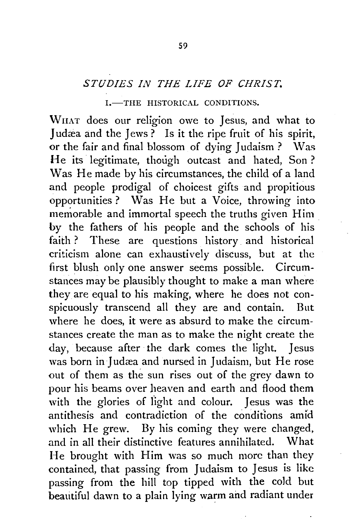## *STUDIES IN THE LIFE OF CHRIST.*

## I.-THE HISTORICAL CONDITIONS.

WnAT does our religion owe to Jesus, and what to Judæa and the Jews? Is it the ripe fruit of his spirit, or the fair and final blossom of dying Judaism ? Was He its legitimate, though outcast and hated, Son ? Was He made by his circumstances, the child of a land and people prodigal of choicest gifts and propitious opportunities? Was He but a Voice, throwing into memorable and immortal speech the truths given Him . by the fathers of his people and the schools of his faith ? These are questions history. and historical criticism alone can exhaustively discuss, but at the first blush only one answer seems possible. Circumstances may be plausibly thought to make a man where they are equal to his making, where he does not conspicuously transcend all they are and contain. But where he does, it were as absurd to make the circumstances create the man as to make the night create the day, because after the dark comes the light. Jesus was born in Judæa and nursed in Judaism, but He rose out of them as the sun rises out of the grey dawn to pour his beams over heaven and earth and flood them with the glories of fight and colour. Jesus was the antithesis and contradiction of the conditions amid which He grew. By his coming they were changed, and in all their distinctive features annihilated. \Vhat He brought with Him was so much more than they contained, that passing from Judaism to Jesus is like passing from the hill top tipped with the cold but beautiful dawn to a plain lying warm and radiant under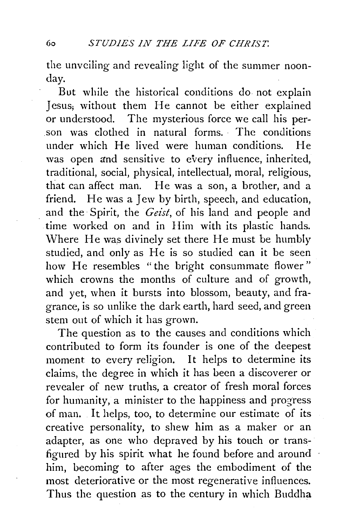the unveiling and revealing light of the summer noonday.

But while the historical conditions do not explain Jesus; without them He cannot be either explained or understood. The mysterious force we call his person was clothed in natural forms. The conditions under which He lived were human conditions. He was open and sensitive to every influence, inherited, traditional, social, physical, intellectual, moral, religious, that can affect man. He was a son, a brother, and a friend. He was a Jew by birth, speech, and education, and the Spirit, the *Geist,* of his land and people and time worked on and in Him with its plastic hands. Where He was divinely set there He must be humbly studied, and only as He is so studied can it be seen how He resembles "the bright consummate flower" which crowns the months of culture and of growth, and yet, when it bursts into blossom, beauty, and fragrance, is so unlike the dark earth, hard seed, and green stem out of which it has grown.

The question as to the causes and conditions which contributed to form its founder is one of the deepest moment to every religion. It helps to determine its claims, the degree in which it has been a discoverer or revealer of new truths, a creator of fresh moral forces for humanity, a minister to the happiness and progress of man. It helps, too, to determine our estimate of its creative personality, to shew him as a maker or an adapter, as one who depraved by his touch or transfigured by his spirit what he found before and around him, becoming to after ages the embodiment of the most deteriorative or the most regenerative influences. Thus the question as to the century in which Buddha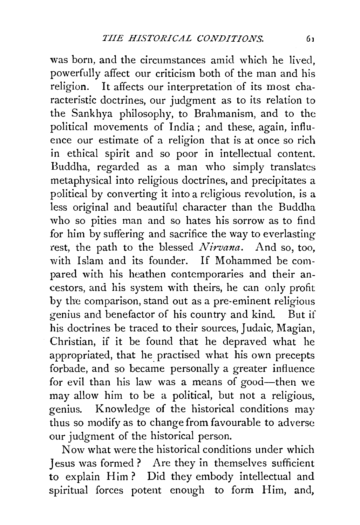was born, and the circumstances amid which he lived, powerfully affect our criticism both of the man and his religion. It affects our interpretation of its most characteristic doctrines, our judgment as to its relation to the Sankhya philosophy, to Brahmanism, and to the political movements of India; and these, again, influence our estimate of a religion that is at once so rich in ethical spirit and so poor in intellectual content. Buddha, regarded as a man who simply translates metaphysical into religious doctrines, and precipitates a political by converting it into a religious revolution, is a less original and beautiful character than the Buddha who so pities man and so hates his sorrow as to find for him by suffering and sacrifice the way to everlasting rest, the path to the blessed *Nirvana.* And so, too, with Islam and its founder. If Mohammed be compared with his heathen contemporaries and their ancestors, and his system with theirs, he can only profit by the comparison, stand out as a pre-eminent religious genius and benefactor of his country and kind. But if his doctrines be traced to their sources, Judaic, Magian, Christian, if it be found that he depraved what he appropriated, that he practised what his own precepts forbade, and so became personally a greater influence for evil than his law was a means of  $good$ -then we may allow him to be a political, but not a religious, genius. Knowledge of the historical conditions may thus so modify as to change from favourable to adverse our judgment of the historical person.

Now what were the historical conditions under which Jesus was formed ? Are they in themselves sufficient to explain Him ? Did they embody intellectual and spiritual forces potent enough to form Him, and,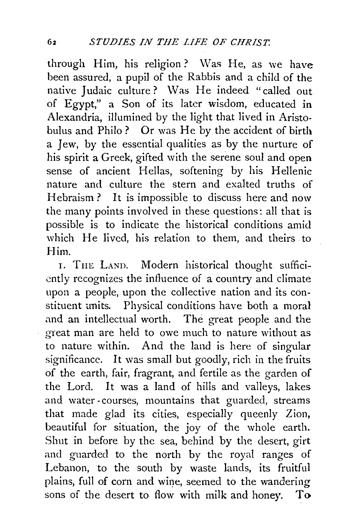through Him, his religion? Was He, as we have been assured, a pupil of the Rabbis and a child of the native Judaic culture? Was He indeed "called out of Egypt," a Son of its later wisdom, educated in Alexandria, illumined by the light that lived in Aristobulus and Philo ? Or was He by the accident of birth a Jew, by the essential qualities as by the nurture of his spirit a Greek, gifted with the serene soul and open sense of ancient Hellas, softening by his Hellenic nature and culture the stern and exalted truths of Hebraism? It is impossible to discuss here and now the many points involved in these questions: all that is possible is to indicate the historical conditions amid which He lived, his relation to them, and theirs to Him.

I. THE LAND. Modern historical thought sufficiently recognizes the influence of a country and climate upon a people, upon the collective nation and its constituent units. Physical conditions have both a moral and an intellectual worth. The great people and the great man are held to owe much to nature without as to nature within. And the land is here of singular significance. It was small but goodly, rich in the fruits of the earth, fair, fragrant, and fertile as the garden of the Lord. It was a land of hills and valleys, lakes and water -courses, mountains that guarded, streams that made glad its cities, especially queenly Zion, beautiful for situation, the joy of the whole earth. Shut in before by the sea, behind by the desert, girt and guarded to the north by the royal ranges of Lebanon, to the south by waste lands, its fruitful plains, full of corn and wine, seemed to the wandering sons of the desert to flow with milk and honey. To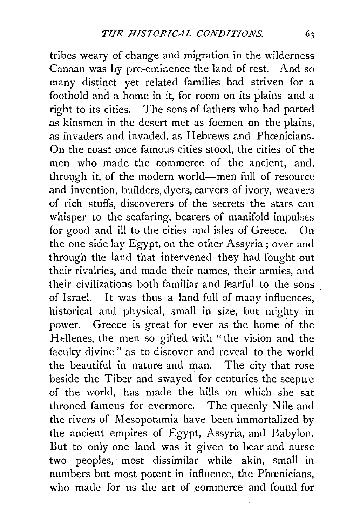tribes weary of change and migration in the wilderness Canaan was by pre-eminence the land of rest. And so many distinct yet related families had striven for a foothold and a home in it, for room on its plains and a right to its cities. The sons of fathers who had parted as kinsmen in the desert met as foemen on the plains, as invaders and invaded, as Hebrews and Phœnicians. On the coast once famous cities stood, the cities of the men who made the commerce of the ancient, and, through it, of the modern world-men full of resource and invention, builders, dyers, carvers of ivory, weavers of rich stuffs, discoverers of the secrets the stars can whisper to the seafaring, bearers of manifold impulses for good and ill to the cities and isles of Greece. On the one side lay Egypt, on the other Assyria ; over and through the land that intervened they had fought out their rivalries, and made their names, their armies, and their civilizations both familiar and fearful to the sons of Israel. It was thus a land full of many influences, historical and physical, small in size, but mighty in power. Greece is great for ever as the home of the Hellenes, the men so gifted with "the vision and the faculty divine " as to discover and reveal to the world the beautiful in nature and man. The city that rose beside the Tiber and swayed for centuries the sceptre of the world, has made the hills on which she sat throned famous for evermore. The queenly Nile and the rivers of Mesopotamia have been immortalized by the ancient empires of Egypt, Assyria, and Babylon. But to only one land was it given to bear and nurse two peoples, most dissimilar while akin, small in numbers but most potent in influence, the Phœnicians, who made for us the art of commerce and found for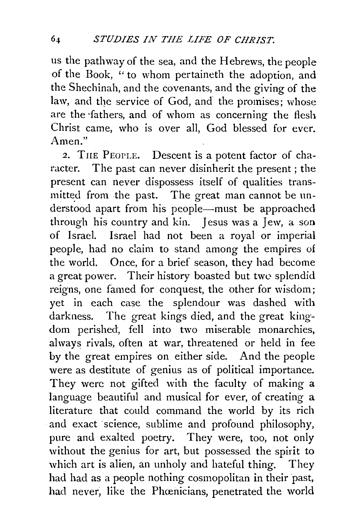us the pathway of the sea, and the Hebrews, the people of the Book, '' to whom pertaineth the adoption, and the Shechinah, and the covenants, and the giving of the law, and the service of God, and the promises; whose are the ·fathers, and of whom as concerning the flesh Christ came, who is over all, God blessed for ever. Amen."

2. TnE PEOPLE. Descent is a potent factor of character. The past can never disinherit the present; the present can never dispossess itself of qualities transmitted from the past. The great man cannot be understood apart from his people-must be approached through his country and kin. Jesus was a Jew, a son of Israel. Israel had not been a royal or imperial people, had no daim to stand among the empires of the world. Once, for a brief season, they had become a great power. Their history boasted but twe splendid reigns, one famed for conquest, the other for wisdom; yet in each case the splendour was dashed with darkness. The great kings died, and the great kingdom perished, fell into two miserable monarchies, always rivals, often at war, threatened or held in fee by the great empires on either side. And the people were as destitute of genius as of political importance. They were not gifted with the faculty of making a language beautiful and musical for ever, of creating a literature that could command the world by its rich and exact science, sublime and profound philosophy, pure and exalted poetry. They were, too, not only without the genius for art, but possessed the spirit to which art is alien, an unholy and hateful thing. They had had as a people nothing cosmopolitan in their past, had never, like the Phœnicians, penetrated the world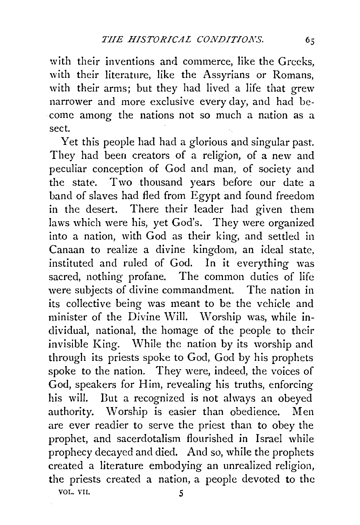with their inventions and commerce, like the Greeks, with their literature, like the Assyrians or Romans, with their arms; but they had lived a life that grew narrower and more exclusive every day, and had become among the nations not so much a nation as a sect.

Yet this people had had a glorious and singular past. They had been creators of a religion, of a new and peculiar conception of God and man, of society and the state. Two thousand years before our date a band of slaves had fled from Egypt and found freedom in the desert. There their leader had given them laws which were his, yet God's. They were organized into a nation, with God as their king, and settled in Canaan to realize a divine kingdom, an ideal state, instituted and ruled of God. In it everything was sacred, nothing profane. The common duties of life were subjects of divine commandment. The nation in its collective being was meant to be the vehicle and minister of the Divine Will. Worship was, while individual, national, the homage of the people to their invisible King. While the nation by its worship and through its priests spoke to God, God by his prophets spoke to the nation. They were, indeed, the voices of God, speakers for Him, revealing his truths, enforcing his will. Dut a recognized is not always an obeyed authority. Worship is easier than obedience. Men are ever readier to serve the priest than to obey the prophet, and sacerdotalism flourished in Israel while prophecy decayed and died. And so, while the prophets created a literature embodying an unrealized religion, the priests created a nation, a people devoted to the

VOL. VII. 5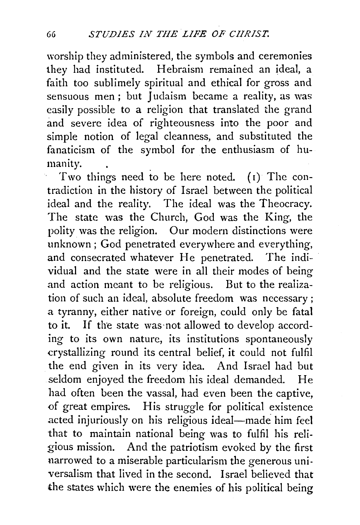worship they administered, the symbols and ceremonies they had instituted. Hebraism remained an ideal, a faith too sublimely spiritual and ethical for gross and sensuous men; but Judaism became a reality, as was easily possible to a religion that translated the grand and severe idea of righteousness into the poor and simple notion of legal cleanness, and substituted the fanaticism of the symbol for the enthusiasm of humanity.

Two things need to be here noted. ( $\mathfrak{r}$ ) The contradiction in the history of Israel between the political ideal and the reality. The ideal was the Theocracy. The state was the Church, God was the King, the polity was the religion. Our modern distinctions were unknown ; God penetrated everywhere and everything, and consecrated whatever He penetrated. The individual and the state were in all their modes of being and action meant to be religious. But to the realization of such an ideal, absolute freedom was necessary ; a tyranny, either native or foreign, could only be fatal to it. If the state was not allowed to develop according to its own nature, its institutions spontaneously crystallizing round its central belief, it could not fulfil the end given in its very idea. And Israel had but seldom enjoyed the freedom his ideal demanded. He had often been the vassal, had even been the captive, of great empires. His struggle for political existence acted injuriously on his religious ideal-made him feel that to maintain national being was to fulfil his religious mission. And the patriotism evoked by the first narrowed to a miserable particularism the generous universalism that lived in the second. Israel believed that the states which were the enemies of his political being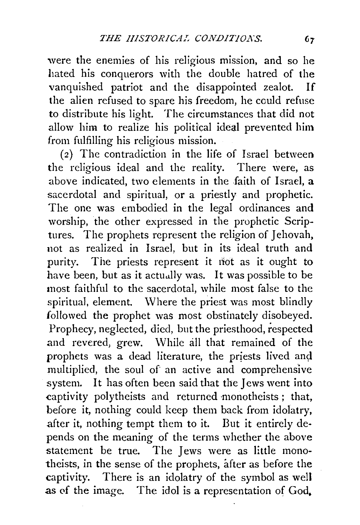were the enemies of his religious mission, and so he hated his conquerors with the double hatred of the vanquished patriot and the disappointed zealot. If the alien refused to spare his freedom, he could refuse to distribute his light. The circumstances that did not allow him to realize his political ideal prevented him from fulfilling his religious mission.

(2) The contradiction in the life of Israel between the religious ideal and the reality. There were, as above indicated, two elements in the faith of Israel, a sacerdotal and spiritual, or a priestly and prophetic. The one was embodied in the legal ordinances and worship, the other expressed in the prophetic Scrip· tures. The prophets represent the religion of Jehovah, not as realized in Israel, but in its ideal truth and purity. The priests represent it not as it ought to have been, but as it actually was. It was possible to be most faithful to the sacerdotal, while most false to the spiritual, element. Where the priest was most blindly followed the prophet was most obstinately disobeyed. Prophecy, neglected, died, but the priesthood, respected and revered, grew. While all that remained of the prophets was a dead literature, the priests lived and multiplied, the soul of an active and comprehensive system. It has often been said that the Jews went into captivity polytheists and returned monotheists ; that, before it, nothing could keep them back from idolatry, after it, nothing tempt them to it. But it entirely de· pends on the meaning of the terms whether the above statement be true. The Jews were as little monotheists, in the sense of the prophets, after as before the captivity. There is an idolatry of the symbol as well as of the image. The idol is a representation of God.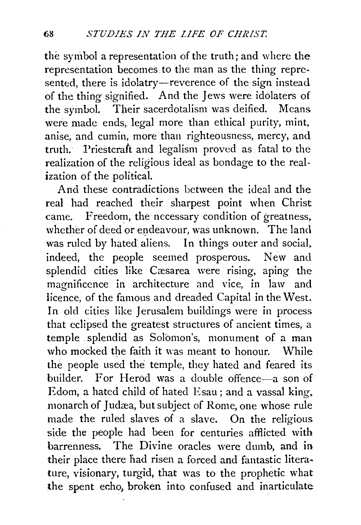the symbol a representation of the truth; and where the representation becomes to the man as the thing represented, there is idolatry—reverence of the sign instead of the thing signified. And the Jews were idolaters of the syinbol. Their sacerdotalism was deified. Means were made ends, legal more than ethical purity, mint, anise, and cumin, more than righteousness, mercy, and truth. Priestcraft and legalism proved as fatal to the realization of the religious ideal as bondage to the realization of the political.

And these contradictions between the ideal and the real had reached their sharpest point when Christ came. Freedom, the necessary condition of greatness, whether of deed or endeavour, was unknown. The land was ruled by hated aliens. In things outer and social, indeed, the people seemed prosperous. New and splendid cities like Cæsarea were rising, aping the magnificence in architecture and vice, in law and licence, of the famous and dreaded Capital in the West. In old cities like Jerusalem buildings were in process that eclipsed the greatest structures of ancient times, a temple splendid as Solomon's, monument of a man who mocked the faith it was meant to honour. While the people used the temple, they hated and feared its builder. For Herod was a double offence-a son of Edom, a hated child of hated Esau; and a vassal king. monarch of Judæa, but subject of Rome, one whose rule made the ruled slaves of a slave. On the religious side the people had been for centuries afflicted with barrenness. The Divine oracles were dumb, and in their place there had risen a forced and fantastic litera· ture, visionary, turgid, that was to the prophetic what the spent echo, broken into confused and inarticulate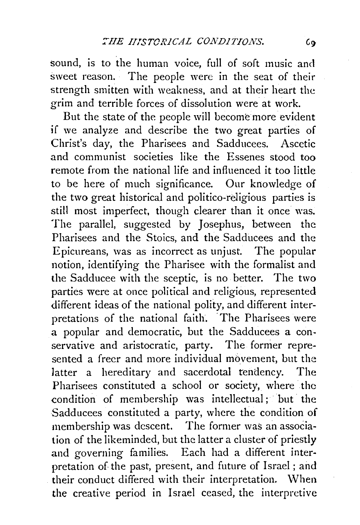sound, is to the human voice, full of soft music and sweet reason. The people were in the seat of their strength smitten with weakness, and at their heart the grim and terrible forces of dissolution were at work.

But the state of the people will become more evident if we analyze and describe the two great parties of Christ's day, the Pharisees and Sadducees. Ascetic and communist societies like the Essenes stood too remote from the national life and influenced it too little to be here of much significance. Our knowledge of the two great historical and politico-religious parties is still most imperfect, though clearer than it once was. The parallel, suggested by Josephus, between the Pharisees and the Stoics, and the Sadducees and the Epicureans, was as incorrect as unjust. The popular notion, identifying the Pharisee with the formalist and the Sadducee with the sceptic, is no better. The two parties were at once political and religious, represented different ideas of the national polity, and different interpretations of the national faith. The Pharisees were a popular and democratic, but the Sadducees a conservative and aristocratic, party. The former represented a freer and more individual movement, but the latter a hereditary and sacerdotal tendency. The Pharisees constituted a school or society, where the condition of membership was intellectual; but the Sadducees constituted a party, where the condition of membership was descent. The former was an association of the likeminded, but the latter a cluster of priestly and governing families. Each had a different interpretation of the past, present, and future of Israel ; and their conduct differed with their interpretation. When the creative period in Israel ceased, the interpretive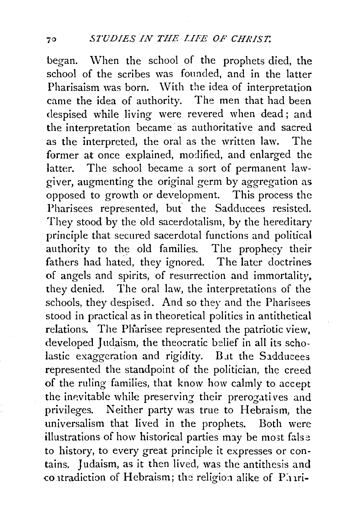began. When the school of the prophets died, the school of the scribes was founded, and in the latter Pharisaism was born. With the idea of interpretation came the idea of authority. The men that had been despised while living were revered when dead; and the interpretation became as authoritative and sacred as the interpreted, the oral as the written law. The former at once explained, modified, and enlarged the latter. The school became a sort of permanent lawgiver, augmenting the original germ by aggregation as opposed to growth or development. This process the Pharisees represented, but the Sadducees resisted. They stood by the old sacerdotalism, by the hereditary principle that secured sacerdotal functions and political authority to the old families. The prophecy their fathers had hated, they ignored. The later doctrines of angels and spirits, of resurrection and immortality. they denied. The oral law, the interpretations of the schools, they despised. And so they and the Pharisees stood in practical as in theoretical politics in antithetical relations. The Pharisee represented the patriotic view, developed Judaism, the theocratic belief in all its scholastic exaggeration and rigidity. But the Sadducees represented the standpoint of the politician, the creed of the ruling families, that know how calmly to accept the inevitable while preserving their prerogatives and privileges. Neither party was true to Hebraism, the universalism that lived in the prophets. Both were illustrations of how historical parties may be most false to history, to every great principle it expresses or contains. 1 udaism, as it then lived, was the antithesis and contradiction of Hebraism; the religion alike of Phari-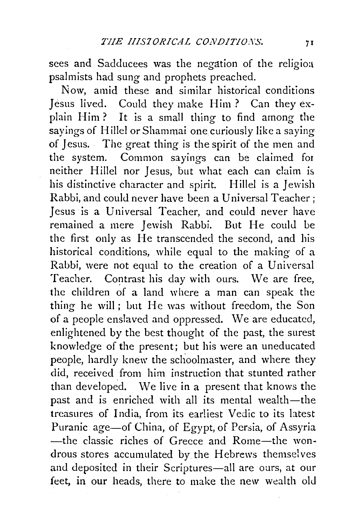sees and Sadducees was the negation of the religion psalmists had sung and prophets preached.

Now, amid these and similar historical conditions Jesus lived. Could they make Him? Can they explain Him? It is a small thing to find among the sayings of Hillel or Shammai one curiously like a saying of Jesus. The great thing is the spirit of the men and the system. Common sayings can be claimed for neither Hillel nor Jesus, but what each can claim is his distinctive character and spirit. Hillel is a Jewish Rabbi, and could never have been a Universal Teacher ; Jesus is a Universal Teacher, and could never have remained a mere Jewish Rabbi. But He could be the first only as He transcended the second, and his historical conditions, while equal to the making of a Rabbi, were not equal to the creation of a Universal Teacher. Contrast his day with ours. We are free, the children of a land where a man can speak the thing he will; but He was without freedom, the Son of a people enslaved and oppressed. We are educated, enlightened by the best thought of the past, the surest knowledge of the present; but his were an uneducated people, hardly knew the schoolmaster, and where they did, received from him instruction that stunted rather than developed. We live in a present that knows the past and is enriched with all its mental wealth-the treasures of India, from its earliest Vedic to its latest Puranic age-of China, of Egypt, of Persia, of Assyria -the classic riches of Greece and Rome-the wondrous stores accumulated by the Hebrews themselves and deposited in their Scriptures-all are ours, at our feet, in our heads, there to make the new wealth old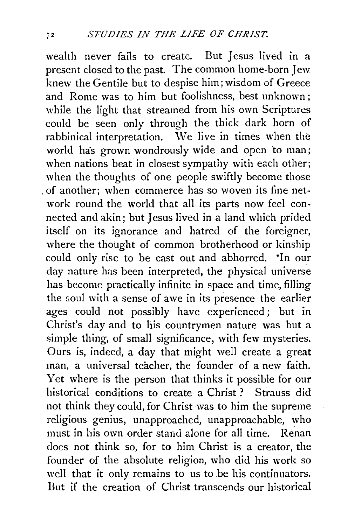wealth never fails to create. But Jesus lived in a present closed to the past. The common home-born Jew knew the Gentile but to despise him; wisdom of Greece and Rome was to him but foolishness, best unknown: while the light that streamed from his own Scriptures could be seen only through the thick dark horn of rabbinical interpretation. We live in times when the world has grown wondrously wide and open to man; when nations beat in closest sympathy with each other; when the thoughts of one people swiftly become those . of another; when commerce has so woven its fine network round the world that all its parts now feel connected and akin; but Jesus lived in a land which prided itself on its ignorance and hatred of the foreigner, where the thought of common brotherhood or kinship could only rise to be cast out and abhorred. ·In our day nature has been interpreted, the physical universe has become practically infinite in space and time, filling the soul with a sense of awe in its presence the earlier ages could not possibly have experienced; but in Christ's day and to his countrymen nature was but a simple thing, of small significance, with few mysteries. Ours is, indeed, a day that might well create a great man, a universal teacher, the founder of a new faith. Yet where is the person that thinks it possible for our historical conditions to create a Christ ? Strauss did not think they could, for Christ was to him the supreme religious genius, unapproached, unapproachable, who must in his own order stand alone for all time. Renan does not think so, for to him Christ is a creator, the founder of the absolute religion, who did his work so well that it only remains to us to be his continuators. Dut if the creation of Christ transcends our historical